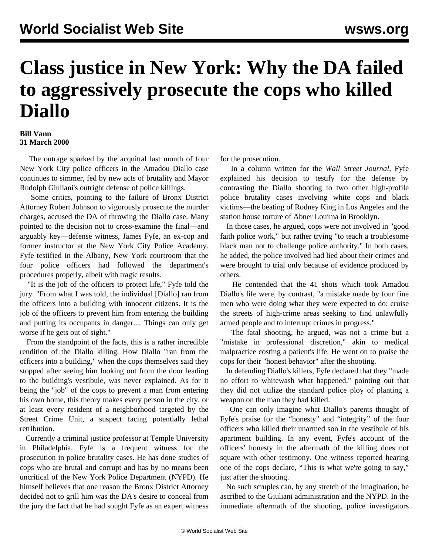## **Class justice in New York: Why the DA failed to aggressively prosecute the cops who killed Diallo**

## **Bill Vann 31 March 2000**

 The outrage sparked by the acquittal last month of four New York City police officers in the Amadou Diallo case continues to simmer, fed by new acts of brutality and Mayor Rudolph Giuliani's outright defense of police killings.

 Some critics, pointing to the failure of Bronx District Attorney Robert Johnson to vigorously prosecute the murder charges, accused the DA of throwing the Diallo case. Many pointed to the decision not to cross-examine the final—and arguably key—defense witness, James Fyfe, an ex-cop and former instructor at the New York City Police Academy. Fyfe testified in the Albany, New York courtroom that the four police officers had followed the department's procedures properly, albeit with tragic results.

 "It is the job of the officers to protect life," Fyfe told the jury. "From what I was told, the individual [Diallo] ran from the officers into a building with innocent citizens. It is the job of the officers to prevent him from entering the building and putting its occupants in danger.... Things can only get worse if he gets out of sight."

 From the standpoint of the facts, this is a rather incredible rendition of the Diallo killing. How Diallo "ran from the officers into a building," when the cops themselves said they stopped after seeing him looking out from the door leading to the building's vestibule, was never explained. As for it being the "job" of the cops to prevent a man from entering his own home, this theory makes every person in the city, or at least every resident of a neighborhood targeted by the Street Crime Unit, a suspect facing potentially lethal retribution.

 Currently a criminal justice professor at Temple University in Philadelphia, Fyfe is a frequent witness for the prosecution in police brutality cases. He has done studies of cops who are brutal and corrupt and has by no means been uncritical of the New York Police Department (NYPD). He himself believes that one reason the Bronx District Attorney decided not to grill him was the DA's desire to conceal from the jury the fact that he had sought Fyfe as an expert witness for the prosecution.

 In a column written for the *Wall Street Journal*, Fyfe explained his decision to testify for the defense by contrasting the Diallo shooting to two other high-profile police brutality cases involving white cops and black victims—the beating of Rodney King in Los Angeles and the station house torture of Abner Louima in Brooklyn.

 In those cases, he argued, cops were not involved in "good faith police work," but rather trying "to teach a troublesome black man not to challenge police authority." In both cases, he added, the police involved had lied about their crimes and were brought to trial only because of evidence produced by others.

 He contended that the 41 shots which took Amadou Diallo's life were, by contrast, "a mistake made by four fine men who were doing what they were expected to do: cruise the streets of high-crime areas seeking to find unlawfully armed people and to interrupt crimes in progress."

 The fatal shooting, he argued, was not a crime but a "mistake in professional discretion," akin to medical malpractice costing a patient's life. He went on to praise the cops for their "honest behavior" after the shooting.

 In defending Diallo's killers, Fyfe declared that they "made no effort to whitewash what happened," pointing out that they did not utilize the standard police ploy of planting a weapon on the man they had killed.

 One can only imagine what Diallo's parents thought of Fyfe's praise for the "honesty" and "integrity" of the four officers who killed their unarmed son in the vestibule of his apartment building. In any event, Fyfe's account of the officers' honesty in the aftermath of the killing does not square with other testimony. One witness reported hearing one of the cops declare, "This is what we're going to say," just after the shooting.

 No such scruples can, by any stretch of the imagination, be ascribed to the Giuliani administration and the NYPD. In the immediate aftermath of the shooting, police investigators